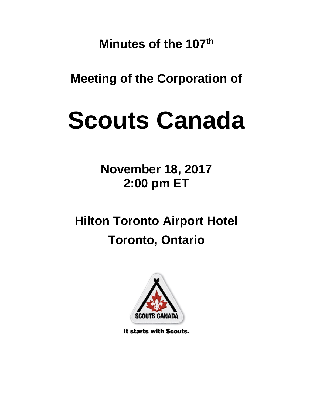**Minutes of the 107th**

**Meeting of the Corporation of**

# **Scouts Canada**

**November 18, 2017 2:00 pm ET**

**Hilton Toronto Airport Hotel Toronto, Ontario** 



It starts with Scouts.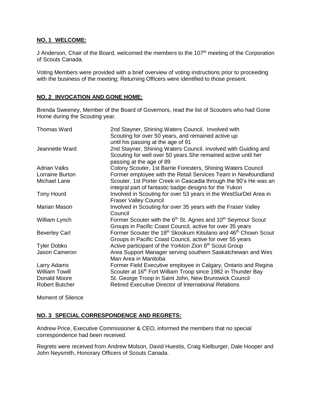# **NO. 1 WELCOME:**

J Anderson, Chair of the Board, welcomed the members to the 107<sup>th</sup> meeting of the Corporation of Scouts Canada.

Voting Members were provided with a brief overview of voting instructions prior to proceeding with the business of the meeting; Returning Officers were identified to those present.

# **NO. 2 INVOCATION AND GONE HOME:**

Brenda Sweeney, Member of the Board of Governors, read the list of Scouters who had Gone Home during the Scouting year.

| <b>Thomas Ward</b>    | 2nd Stayner, Shining Waters Council. Involved with<br>Scouting for over 50 years, and remained active up<br>until his passing at the age of 91               |
|-----------------------|--------------------------------------------------------------------------------------------------------------------------------------------------------------|
| Jeannette Ward        | 2nd Stayner, Shining Waters Council. involved with Guiding and<br>Scouting for well over 50 years. She remained active until her<br>passing at the age of 89 |
| <b>Adrian Valks</b>   | Colony Scouter, 1st Barrie Foresters, Shining Waters Council                                                                                                 |
| Lorraine Burton       | Former employee with the Retail Services Team in Newfoundland                                                                                                |
| Michael Lane          | Scouter, 1st Porter Creek in Cascadia through the 90's He was an<br>integral part of fantastic badge designs for the Yukon                                   |
| <b>Tony Hourd</b>     | Involved in Scouting for over 53 years in the WestSurDel Area in<br><b>Fraser Valley Council</b>                                                             |
| Marian Mason          | Involved in Scouting for over 35 years with the Fraser Valley<br>Council                                                                                     |
| William Lynch         | Former Scouter with the 6 <sup>th</sup> St. Agnes and 10 <sup>th</sup> Seymour Scout<br>Groups in Pacific Coast Council, active for over 35 years            |
| <b>Beverley Carl</b>  | Former Scouter the 18 <sup>th</sup> Skookum Kitsilano and 46 <sup>th</sup> Chown Scout<br>Groups in Pacific Coast Council, active for over 55 years          |
| <b>Tyler Dobko</b>    | Active participant of the Yorkton Zion 8 <sup>th</sup> Scout Group                                                                                           |
| Jason Cameron         | Area Support Manager serving southern Saskatchewan and Wes<br>Man Area in Manitoba                                                                           |
| Larry Adams           | Former Field Executive employee in Calgary, Ontario and Regina                                                                                               |
| <b>William Towill</b> | Scouter at 16th Fort William Troop since 1982 in Thunder Bay                                                                                                 |
| Donald Moore          | St. George Troop in Saint John, New Brunswick Council                                                                                                        |
| <b>Robert Butcher</b> | <b>Retired Executive Director of International Relations</b>                                                                                                 |

Moment of Silence

# **NO. 3 SPECIAL CORRESPONDENCE AND REGRETS:**

Andrew Price, Executive Commissioner & CEO, informed the members that no special correspondence had been received.

Regrets were received from Andrew Molson, David Huestis, Craig Kielburger, Dale Hooper and John Neysmith, Honorary Officers of Scouts Canada.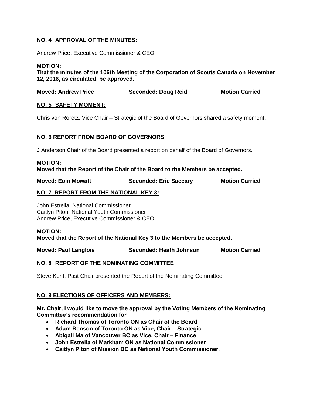# **NO. 4 APPROVAL OF THE MINUTES:**

Andrew Price, Executive Commissioner & CEO

### **MOTION:**

**That the minutes of the 106th Meeting of the Corporation of Scouts Canada on November 12, 2016, as circulated, be approved.**

| <b>Moved: Andrew Price</b> | <b>Seconded: Doug Reid</b> | <b>Motion Carried</b> |
|----------------------------|----------------------------|-----------------------|
|                            |                            |                       |

# **NO. 5 SAFETY MOMENT:**

Chris von Roretz, Vice Chair – Strategic of the Board of Governors shared a safety moment.

# **NO. 6 REPORT FROM BOARD OF GOVERNORS**

J Anderson Chair of the Board presented a report on behalf of the Board of Governors.

#### **MOTION: Moved that the Report of the Chair of the Board to the Members be accepted.**

| <b>Moved: Eoin Mowatt</b> | <b>Seconded: Eric Saccary</b> | <b>Motion Carried</b> |
|---------------------------|-------------------------------|-----------------------|

# **NO. 7 REPORT FROM THE NATIONAL KEY 3:**

John Estrella, National Commissioner Caitlyn Piton, National Youth Commissioner Andrew Price, Executive Commissioner & CEO

#### **MOTION:**

**Moved that the Report of the National Key 3 to the Members be accepted.** 

**Moved: Paul Langlois Seconded: Heath Johnson Motion Carried**

#### **NO. 8 REPORT OF THE NOMINATING COMMITTEE**

Steve Kent, Past Chair presented the Report of the Nominating Committee.

#### **NO. 9 ELECTIONS OF OFFICERS AND MEMBERS:**

**Mr. Chair, I would like to move the approval by the Voting Members of the Nominating Committee's recommendation for**

- **Richard Thomas of Toronto ON as Chair of the Board**
- **Adam Benson of Toronto ON as Vice, Chair – Strategic**
- **Abigail Ma of Vancouver BC as Vice, Chair – Finance**
- **John Estrella of Markham ON as National Commissioner**
- **Caitlyn Piton of Mission BC as National Youth Commissioner.**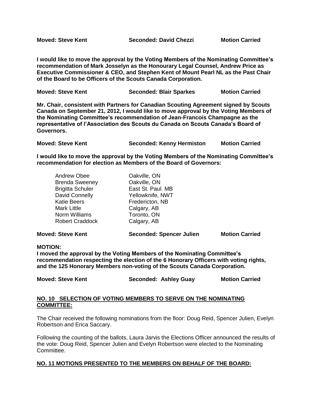**Moved: Steve Kent Seconded: David Chezzi Motion Carried** 

**I would like to move the approval by the Voting Members of the Nominating Committee's recommendation of Mark Josselyn as the Honourary Legal Counsel, Andrew Price as Executive Commissioner & CEO, and Stephen Kent of Mount Pearl NL as the Past Chair of the Board to be Officers of the Scouts Canada Corporation.** 

| <b>Moved: Steve Kent</b> | <b>Seconded: Blair Sparkes</b> | <b>Motion Carried</b> |
|--------------------------|--------------------------------|-----------------------|
|                          |                                |                       |

**Mr. Chair, consistent with Partners for Canadian Scouting Agreement signed by Scouts Canada on September 21, 2012, I would like to move approval by the Voting Members of the Nominating Committee's recommendation of Jean-Francois Champagne as the representative of l'Association des Scouts du Canada on Scouts Canada's Board of Governors.**

| <b>Moved: Steve Kent</b> | <b>Seconded: Kenny Hermiston</b> | <b>Motion Carried</b> |
|--------------------------|----------------------------------|-----------------------|
|                          |                                  |                       |

**I would like to move the approval by the Voting Members of the Nominating Committee's recommendation for election as Members of the Board of Governors:**

| <b>Andrew Obee</b>      | Oakville, ON      |
|-------------------------|-------------------|
| <b>Brenda Sweeney</b>   | Oakville, ON      |
| <b>Brigitta Schuler</b> | East St. Paul. MB |
| David Connelly          | Yellowknife, NWT  |
| <b>Katie Beers</b>      | Fredericton, NB   |
| <b>Mark Little</b>      | Calgary, AB       |
| Norm Williams           | Toronto, ON       |
| <b>Robert Craddock</b>  | Calgary, AB       |
|                         |                   |

**Moved: Steve Kent Seconded: Spencer Julien Motion Carried**

#### **MOTION:**

**I moved the approval by the Voting Members of the Nominating Committee's recommendation respecting the election of the 6 Honorary Officers with voting rights, and the 125 Honorary Members non-voting of the Scouts Canada Corporation.** 

**Moved: Steve Kent Seconded: Ashley Guay Motion Carried** 

#### **NO. 10 SELECTION OF VOTING MEMBERS TO SERVE ON THE NOMINATING COMMITTEE:**

The Chair received the following nominations from the floor: Doug Reid, Spencer Julien, Evelyn Robertson and Erica Saccary.

Following the counting of the ballots, Laura Jarvis the Elections Officer announced the results of the vote: Doug Reid, Spencer Julien and Evelyn Robertson were elected to the Nominating Committee.

# **NO. 11 MOTIONS PRESENTED TO THE MEMBERS ON BEHALF OF THE BOARD:**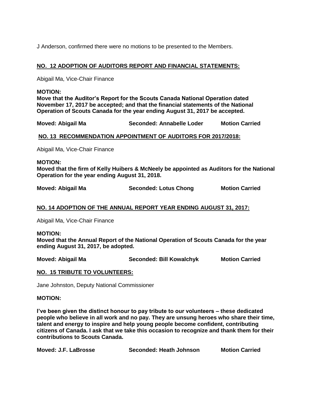J Anderson, confirmed there were no motions to be presented to the Members.

# **NO. 12 ADOPTION OF AUDITORS REPORT AND FINANCIAL STATEMENTS:**

Abigail Ma, Vice-Chair Finance

#### **MOTION:**

**Move that the Auditor's Report for the Scouts Canada National Operation dated November 17, 2017 be accepted; and that the financial statements of the National Operation of Scouts Canada for the year ending August 31, 2017 be accepted.**

**Moved: Abigail Ma Seconded: Annabelle Loder Motion Carried** 

#### **NO. 13 RECOMMENDATION APPOINTMENT OF AUDITORS FOR 2017/2018:**

Abigail Ma, Vice-Chair Finance

#### **MOTION:**

**Moved that the firm of Kelly Huibers & McNeely be appointed as Auditors for the National Operation for the year ending August 31, 2018.**

**Moved: Abigail Ma Seconded: Lotus Chong Motion Carried** 

# **NO. 14 ADOPTION OF THE ANNUAL REPORT YEAR ENDING AUGUST 31, 2017:**

Abigail Ma, Vice-Chair Finance

#### **MOTION:**

**Moved that the Annual Report of the National Operation of Scouts Canada for the year ending August 31, 2017, be adopted.**

**Moved: Abigail Ma Seconded: Bill Kowalchyk Motion Carried** 

#### **NO. 15 TRIBUTE TO VOLUNTEERS:**

Jane Johnston, Deputy National Commissioner

#### **MOTION:**

**I've been given the distinct honour to pay tribute to our volunteers – these dedicated people who believe in all work and no pay. They are unsung heroes who share their time, talent and energy to inspire and help young people become confident, contributing citizens of Canada. I ask that we take this occasion to recognize and thank them for their contributions to Scouts Canada.**

| Moved: J.F. LaBrosse | Seconded: Heath Johnson | <b>Motion Carried</b> |
|----------------------|-------------------------|-----------------------|
|----------------------|-------------------------|-----------------------|